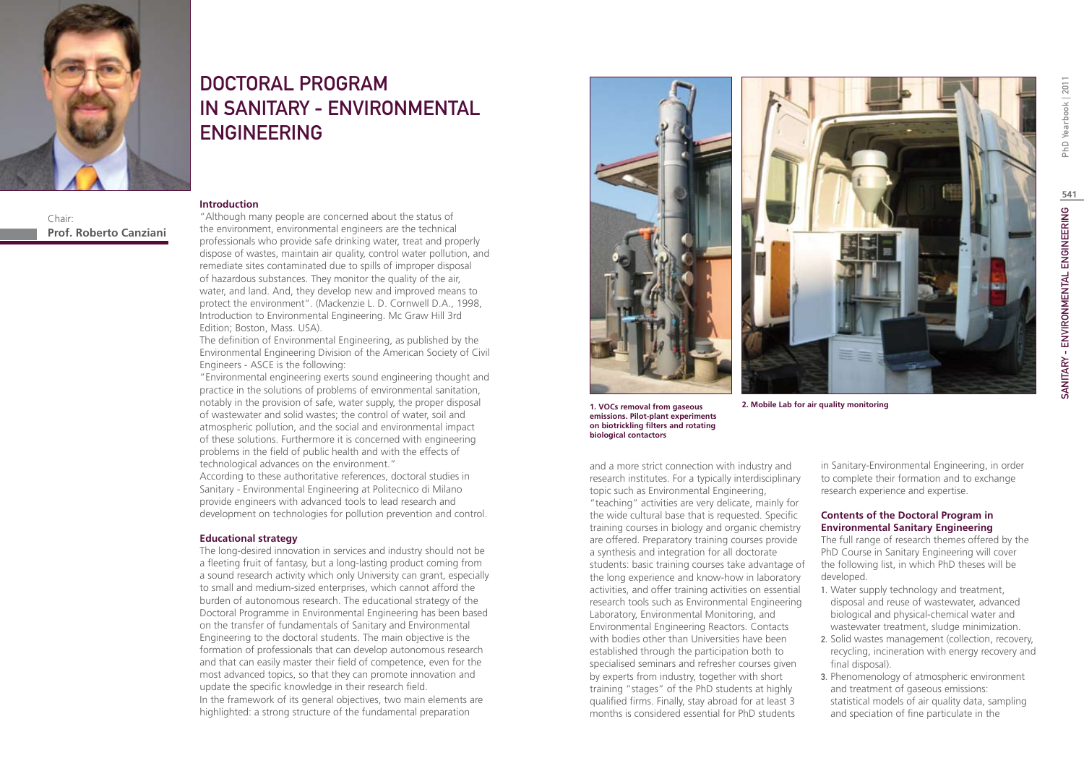

Chair: **Prof. Roberto Canziani**

# DOCTORAL PROGRAM IN SANITARY - ENVIRONMENTAL ENGINEERING

#### **Introduction**

"Although many people are concerned about the status of the environment, environmental engineers are the technical professionals who provide safe drinking water, treat and properly dispose of wastes, maintain air quality, control water pollution, and remediate sites contaminated due to spills of improper disposal of hazardous substances. They monitor the quality of the air, water, and land. And, they develop new and improved means to protect the environment". (Mackenzie L. D. Cornwell D.A., 1998, Introduction to Environmental Engineering. Mc Graw Hill 3rd Edition; Boston, Mass. USA).

The definition of Environmental Engineering, as published by the Environmental Engineering Division of the American Society of Civil Engineers - ASCE is the following:

"Environmental engineering exerts sound engineering thought and practice in the solutions of problems of environmental sanitation, notably in the provision of safe, water supply, the proper disposal of wastewater and solid wastes; the control of water, soil and atmospheric pollution, and the social and environmental impact of these solutions. Furthermore it is concerned with engineering problems in the field of public health and with the effects of technological advances on the environment."

According to these authoritative references, doctoral studies in Sanitary - Environmental Engineering at Politecnico di Milano provide engineers with advanced tools to lead research and development on technologies for pollution prevention and control.

#### **Educational strategy**

The long-desired innovation in services and industry should not be a fleeting fruit of fantasy, but a long-lasting product coming from a sound research activity which only University can grant, especially to small and medium-sized enterprises, which cannot afford the burden of autonomous research. The educational strategy of the Doctoral Programme in Environmental Engineering has been based on the transfer of fundamentals of Sanitary and Environmental Engineering to the doctoral students. The main objective is the formation of professionals that can develop autonomous research and that can easily master their field of competence, even for the most advanced topics, so that they can promote innovation and update the specific knowledge in their research field. In the framework of its general objectives, two main elements are highlighted: a strong structure of the fundamental preparation



**1. VOCs removal from gaseous emissions. Pilot-plant experiments on biotrickling filters and rotating biological contactors**

**2. Mobile Lab for air quality monitoring**

and a more strict connection with industry and research institutes. For a typically interdisciplinary topic such as Environmental Engineering, "teaching" activities are very delicate, mainly for the wide cultural base that is requested. Specific training courses in biology and organic chemistry are offered. Preparatory training courses provide a synthesis and integration for all doctorate students: basic training courses take advantage of

the long experience and know-how in laboratory activities, and offer training activities on essential research tools such as Environmental Engineering Laboratory, Environmental Monitoring, and Environmental Engineering Reactors. Contacts with bodies other than Universities have been established through the participation both to specialised seminars and refresher courses given by experts from industry, together with short training "stages" of the PhD students at highly qualified firms. Finally, stay abroad for at least 3 months is considered essential for PhD students

in Sanitary-Environmental Engineering, in order to complete their formation and to exchange research experience and expertise.

#### **Contents of the Doctoral Program in Environmental Sanitary Engineering**

The full range of research themes offered by the PhD Course in Sanitary Engineering will cover the following list, in which PhD theses will be developed.

- 1. Water supply technology and treatment, disposal and reuse of wastewater, advanced biological and physical-chemical water and wastewater treatment, sludge minimization.
- 2. Solid wastes management (collection, recovery, recycling, incineration with energy recovery and final disposal).
- 3. Phenomenology of atmospheric environment and treatment of gaseous emissions: statistical models of air quality data, sampling and speciation of fine particulate in the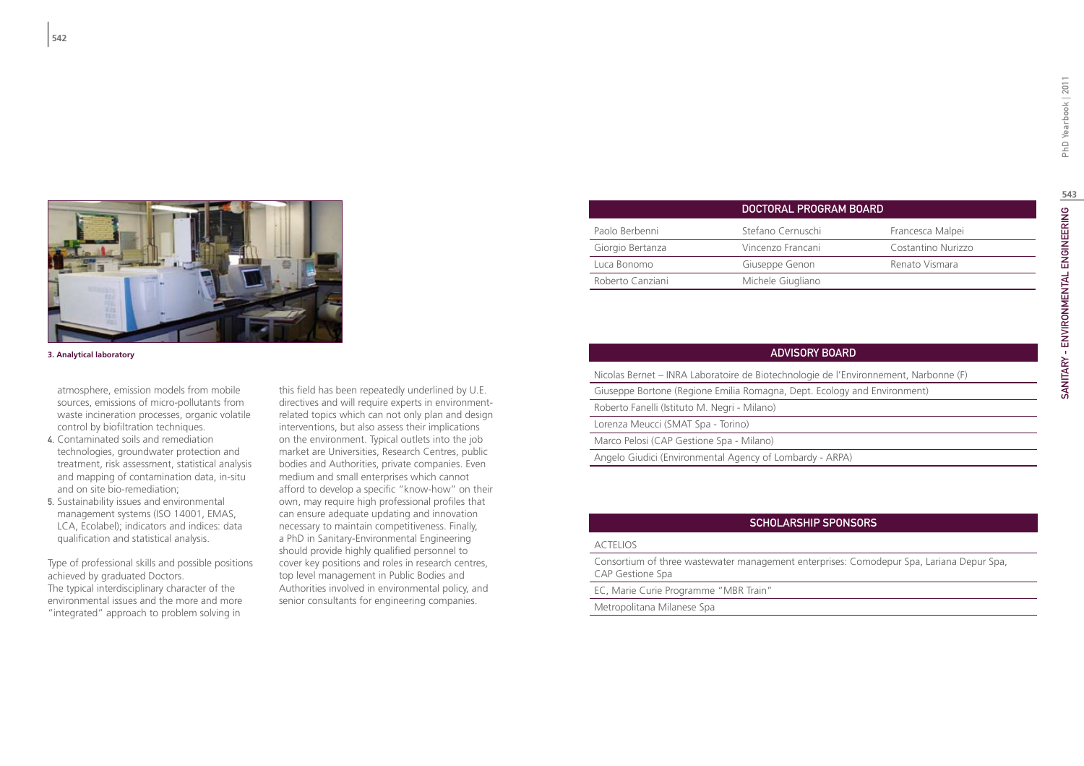

- 4. Contaminated soils and remediation technologies, groundwater protection and treatment, risk assessment, statistical analysis and mapping of contamination data, in-situ and on site bio-remediation;
- 5. Sustainability issues and environmental management systems (ISO 14001, EMAS, LCA, Ecolabel); indicators and indices: data qualification and statistical analysis.

Type of professional skills and possible positions achieved by graduated Doctors. The typical interdisciplinary character of the environmental issues and the more and more "integrated" approach to problem solving in

this field has been repeatedly underlined by U.E. directives and will require experts in environmentrelated topics which can not only plan and design interventions, but also assess their implications on the environment. Typical outlets into the job market are Universities, Research Centres, public bodies and Authorities, private companies. Even medium and small enterprises which cannot afford to develop a specific "know-how" on their own, may require high professional profiles that can ensure adequate updating and innovation necessary to maintain competitiveness. Finally, a PhD in Sanitary-Environmental Engineering should provide highly qualified personnel to cover key positions and roles in research centres, top level management in Public Bodies and Authorities involved in environmental policy, and senior consultants for engineering companies.

|                  | DOCTORAL PROGRAM BOARD |                    |
|------------------|------------------------|--------------------|
| Paolo Berbenni   | Stefano Cernuschi      | Francesca Malpei   |
| Giorgio Bertanza | Vincenzo Francani      | Costantino Nurizzo |
| Luca Bonomo      | Giuseppe Genon         | Renato Vismara     |
| Roberto Canziani | Michele Giugliano      |                    |
|                  |                        |                    |

| 3. Analytical laboratory                                                                                                                                                                                                  |                                                                                                                                                                                                                                                                        | <b>ADVISORY BOARD</b>                                                                |  |
|---------------------------------------------------------------------------------------------------------------------------------------------------------------------------------------------------------------------------|------------------------------------------------------------------------------------------------------------------------------------------------------------------------------------------------------------------------------------------------------------------------|--------------------------------------------------------------------------------------|--|
| atmosphere, emission models from mobile<br>sources, emissions of micro-pollutants from<br>waste incineration processes, organic volatile<br>control by biofiltration techniques.<br>4. Contaminated soils and remediation |                                                                                                                                                                                                                                                                        | Nicolas Bernet – INRA Laboratoire de Biotechnologie de l'Environnement, Narbonne (F) |  |
|                                                                                                                                                                                                                           | this field has been repeatedly underlined by U.E.<br>directives and will require experts in environment-<br>related topics which can not only plan and design<br>interventions, but also assess their implications<br>on the environment. Typical outlets into the job | Giuseppe Bortone (Regione Emilia Romagna, Dept. Ecology and Environment)             |  |
|                                                                                                                                                                                                                           |                                                                                                                                                                                                                                                                        | Roberto Fanelli (Istituto M. Negri - Milano)                                         |  |
|                                                                                                                                                                                                                           |                                                                                                                                                                                                                                                                        | Lorenza Meucci (SMAT Spa - Torino)                                                   |  |
|                                                                                                                                                                                                                           |                                                                                                                                                                                                                                                                        | Marco Pelosi (CAP Gestione Spa - Milano)                                             |  |
| toobnalogias arquidustor protection and                                                                                                                                                                                   | market are Universities Desearch Contras public                                                                                                                                                                                                                        |                                                                                      |  |

Angelo Giudici (Environmental Agency of Lombardy - ARPA)

### Scholarship Sponsors

#### ACTELIOS

Consortium of three wastewater management enterprises: Comodepur Spa, Lariana Depur Spa, CAP Gestione Spa

#### EC, Marie Curie Programme "MBR Train"

Metropolitana Milanese Spa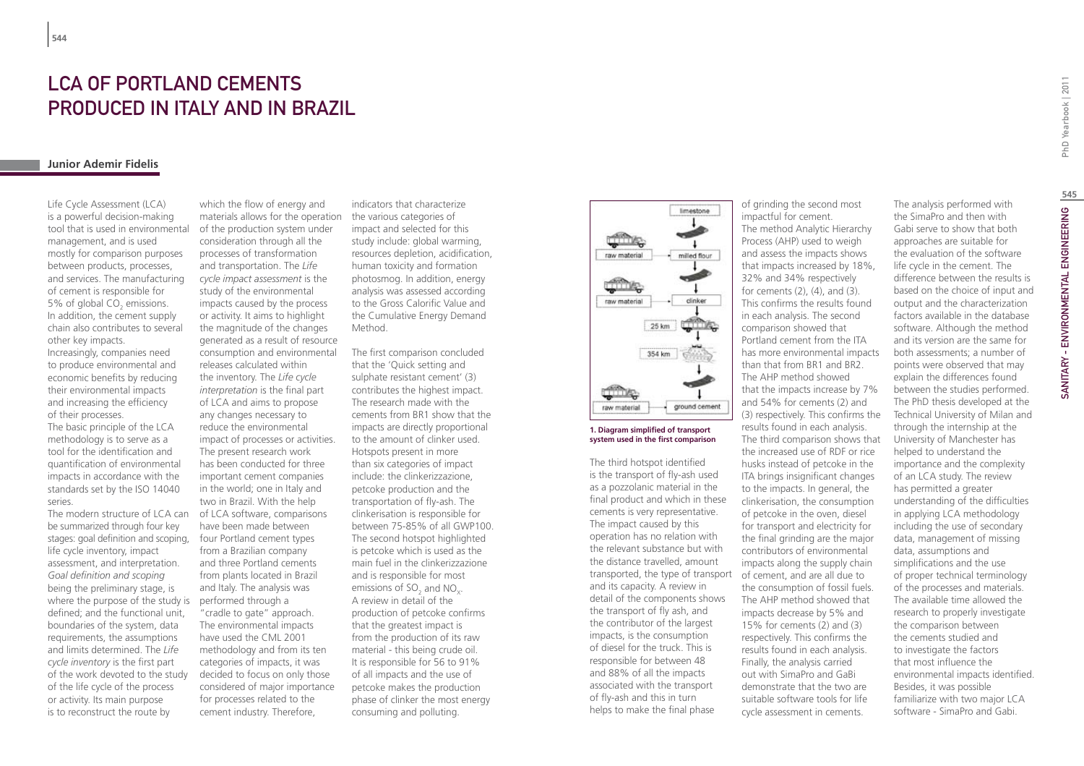### LCA of Portland cements produced in Italy and in Brazil

#### **Junior Ademir Fidelis**

Life Cycle Assessment (LCA) is a powerful decision-making tool that is used in environmental management, and is used mostly for comparison purposes between products, processes, and services. The manufacturing of cement is responsible for 5% of global  $CO_2$  emissions. In addition, the cement supply chain also contributes to several other key impacts.

Increasingly, companies need to produce environmental and economic benefits by reducing their environmental impacts and increasing the efficiency of their processes.

The basic principle of the LCA methodology is to serve as a tool for the identification and quantification of environmental impacts in accordance with the standards set by the ISO 14040 series.

The modern structure of LCA can be summarized through four key stages: goal definition and scoping, life cycle inventory, impact assessment, and interpretation. *Goal definition and scoping* being the preliminary stage, is where the purpose of the study is defined; and the functional unit, boundaries of the system, data requirements, the assumptions and limits determined. The *Life cycle inventory* is the first part of the work devoted to the study of the life cycle of the process or activity. Its main purpose is to reconstruct the route by

which the flow of energy and materials allows for the operation of the production system under consideration through all the processes of transformation and transportation. The *Life cycle impact assessment* is the study of the environmental impacts caused by the process or activity. It aims to highlight the magnitude of the changes generated as a result of resource consumption and environmental releases calculated within the inventory. The *Life cycle interpretation* is the final part of LCA and aims to propose any changes necessary to reduce the environmental impact of processes or activities. The present research work has been conducted for three important cement companies in the world; one in Italy and two in Brazil. With the help of LCA software, comparisons have been made between four Portland cement types from a Brazilian company and three Portland cements from plants located in Brazil and Italy. The analysis was performed through a "cradle to gate" approach. The environmental impacts have used the CML 2001 methodology and from its ten categories of impacts, it was decided to focus on only those considered of major importance for processes related to the cement industry. Therefore,

indicators that characterize the various categories of impact and selected for this study include: global warming, resources depletion, acidification, human toxicity and formation photosmog. In addition, energy analysis was assessed according to the Gross Calorific Value and the Cumulative Energy Demand Method.

The first comparison concluded that the 'Quick setting and sulphate resistant cement' (3) contributes the highest impact. The research made with the cements from BR1 show that the impacts are directly proportional to the amount of clinker used. Hotspots present in more than six categories of impact include: the clinkerizzazione, petcoke production and the transportation of fly-ash. The clinkerisation is responsible for between 75-85% of all GWP100. The second hotspot highlighted is petcoke which is used as the main fuel in the clinkerizzazione and is responsible for most emissions of SO<sub>2</sub> and NO<sub>x</sub>. A review in detail of the production of petcoke confirms that the greatest impact is from the production of its raw material - this being crude oil. It is responsible for 56 to 91% of all impacts and the use of petcoke makes the production phase of clinker the most energy consuming and polluting.



#### **1. Diagram simplified of transport system used in the first comparison**

The third hotspot identified is the transport of fly-ash used as a pozzolanic material in the final product and which in these cements is very representative. The impact caused by this operation has no relation with the relevant substance but with the distance travelled, amount transported, the type of transport and its capacity. A review in detail of the components shows the transport of fly ash, and the contributor of the largest impacts, is the consumption of diesel for the truck. This is responsible for between 48 and 88% of all the impacts associated with the transport of fly-ash and this in turn helps to make the final phase

of grinding the second most impactful for cement. The method Analytic Hierarchy Process (AHP) used to weigh and assess the impacts shows that impacts increased by 18%, 32% and 34% respectively for cements (2), (4), and (3). This confirms the results found in each analysis. The second comparison showed that Portland cement from the ITA has more environmental impacts than that from BR1 and BR2. The AHP method showed that the impacts increase by 7% and 54% for cements (2) and (3) respectively. This confirms the results found in each analysis. The third comparison shows that the increased use of RDF or rice husks instead of petcoke in the ITA brings insignificant changes to the impacts. In general, the clinkerisation, the consumption of petcoke in the oven, diesel for transport and electricity for the final grinding are the major contributors of environmental impacts along the supply chain of cement, and are all due to the consumption of fossil fuels. The AHP method showed that impacts decrease by 5% and 15% for cements (2) and (3) respectively. This confirms the results found in each analysis. Finally, the analysis carried out with SimaPro and GaBi demonstrate that the two are suitable software tools for life cycle assessment in cements.

PhD Yearbook | 2011

software. Although the method and its version are the same for both assessments; a number of points were observed that may explain the differences found between the studies performed. The PhD thesis developed at the Technical University of Milan and through the internship at the University of Manchester has helped to understand the importance and the complexity of an LCA study. The review has permitted a greater understanding of the difficulties in applying LCA methodology including the use of secondary data, management of missing data, assumptions and simplifications and the use of proper technical terminology of the processes and materials. The available time allowed the research to properly investigate the comparison between the cements studied and to investigate the factors that most influence the environmental impacts identified. Besides, it was possible familiarize with two major LCA software - SimaPro and Gabi.

The analysis performed with the SimaPro and then with Gabi serve to show that both approaches are suitable for the evaluation of the software life cycle in the cement. The difference between the results is based on the choice of input and output and the characterization factors available in the database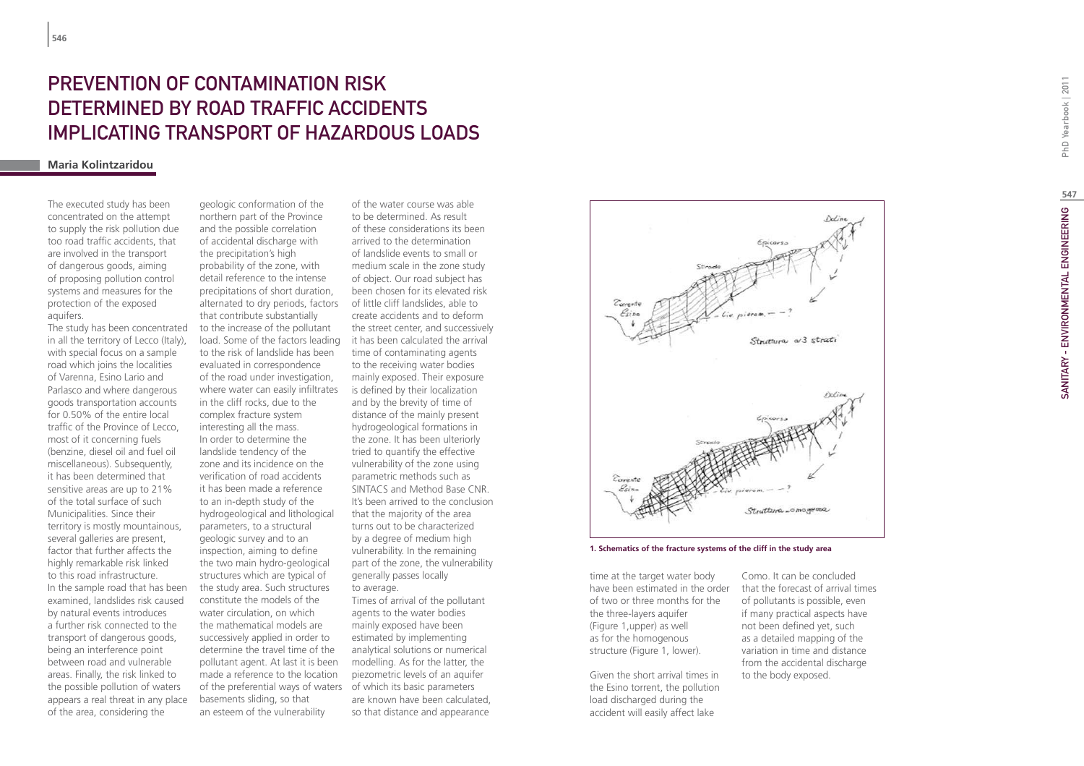## PREVENTION O F CONTAMINATION RISK DETERMINED BY ROAD TRAFFIC ACCIDENTS IMPLICATING TRANSPORT O F H A ZARDO US LOADS

### **Maria Kolintzaridou**

The executed study has been concentrated on the attempt to supply the risk pollution due too road traffic accidents, that are involved in the transport of dangerous goods, aiming of proposing pollution control systems and measures for the protection of the exposed aquifers.

The study has been concentrated in all the territory of Lecco (Italy), with special focus on a sample road which joins the localities of Varenna, Esino Lario and Parlasco and where dangerous goods transportation accounts for 0.50% of the entire local traffic of the Province of Lecco, most of it concerning fuels (benzine, diesel oil and fuel oil miscellaneous). Subsequently, it has been determined that sensitive areas are up to 21% of the total surface of such Municipalities. Since their territory is mostly mountainous, several galleries are present. factor that further affects the highly remarkable risk linked to this road infrastructure. In the sample road that has been examined, landslides risk caused by natural events introduces a further risk connected to the transport of dangerous goods, being an interference point between road and vulnerable areas. Finally, the risk linked to the possible pollution of waters appears a real threat in any place of the area, considering the

geologic conformation of the northern part of the Province and the possible correlation of accidental discharge with the precipitation's high probability of the zone, with detail reference to the intense precipitations of short duration, alternated to dry periods, factors of little cliff landslides, able to that contribute substantially to the increase of the pollutant to the risk of landslide has been evaluated in correspondence of the road under investigation, where water can easily infiltrates in the cliff rocks, due to the complex fracture system interesting all the mass. In order to determine the landslide tendency of the zone and its incidence on the verification of road accidents it has been made a reference to an in-depth study of the hydrogeological and lithological parameters, to a structural geologic survey and to an inspection, aiming to define the two main hydro-geological structures which are typical of the study area. Such structures constitute the models of the water circulation, on which the mathematical models are successively applied in order to determine the travel time of the pollutant agent. At last it is been made a reference to the location of the preferential ways of waters of which its basic parameters basements sliding, so that an esteem of the vulnerability

load. Some of the factors leading it has been calculated the arrival of the water course was able to be determined. As result of these considerations its been arrived to the determination of landslide events to small or medium scale in the zone study of object. Our road subject has been chosen for its elevated risk create accidents and to deform the street center, and successively time of contaminating agents to the receiving water bodies mainly exposed. Their exposure is defined by their localization and by the brevity of time of distance of the mainly present hydrogeological formations in the zone. It has been ulteriorly tried to quantify the effective vulnerability of the zone using parametric methods such as SINTACS and Method Base CNR. It's been arrived to the conclusion that the majority of the area turns out to be characterized by a degree of medium high vulnerability. In the remaining part of the zone, the vulnerability generally passes locally to average. Times of arrival of the pollutant agents to the water bodies mainly exposed have been estimated by implementing analytical solutions or numerical

> modelling. As for the latter, the piezometric levels of an aquifer are known have been calculated, so that distance and appearance



**1. Schematics of the fracture systems of the cliff in the study area**

time at the target water body of two or three months for the the three-layers aquifer (Figure 1,upper) as well as for the homogenous structure (Figure 1, lower).

Given the short arrival times in the Esino torrent, the pollution load discharged during the accident will easily affect lake

have been estimated in the order that the forecast of arrival times Como. It can be concluded of pollutants is possible, even if many practical aspects have not been defined yet, such as a detailed mapping of the variation in time and distance from the accidental discharge to the body exposed.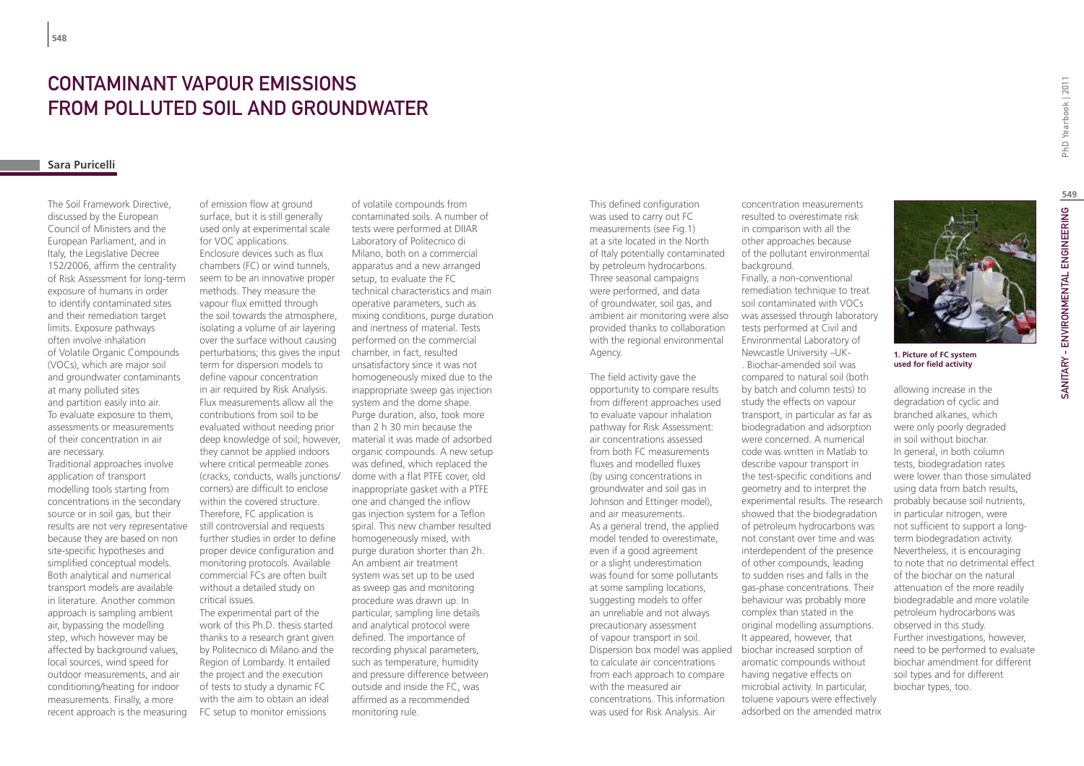# CONTAMINANT VAPOUR EMISSIONS FROM POLLUTED SOIL AND GROUNDWATER

### **Sara Puricelli**

The Soil Framework Directive, discussed by the European Council of Ministers and the European Parliament, and in Italy, the Legislative Decree 152/2006, affirm the centrality of Risk Assessment for long-term exposure of humans in order to identify contaminated sites and their remediation target limits. Exposure pathways often involve inhalation of Volatile Organic Compounds (VOCs), which are major soil and groundwater contaminants at many polluted sites and partition easily into air. To evaluate exposure to them, assessments or measurements of their concentration in air are necessary. Traditional approaches involve application of transport modelling tools starting from concentrations in the secondary source or in soil gas, but their results are not very representative because they are based on non site-specific hypotheses and simplified conceptual models. Both analytical and numerical transport models are available

in literature. Another common approach is sampling ambient air, bypassing the modelling step, which however may be affected by background values, local sources, wind speed for outdoor measurements, and air conditioning/heating for indoor measurements. Finally, a more recent approach is the measuring

of emission flow at ground surface, but it is still generally used only at experimental scale for VOC applications. Enclosure devices such as flux chambers (FC) or wind tunnels, seem to be an innovative proper methods. They measure the vapour flux emitted through the soil towards the atmosphere, isolating a volume of air layering over the surface without causing perturbations; this gives the input chamber, in fact, resulted term for dispersion models to define vapour concentration in air required by Risk Analysis. Flux measurements allow all the contributions from soil to be evaluated without needing prior deep knowledge of soil; however, they cannot be applied indoors where critical permeable zones (cracks, conducts, walls junctions/ corners) are difficult to enclose within the covered structure. Therefore, FC application is still controversial and requests further studies in order to define proper device configuration and monitoring protocols. Available commercial FCs are often built without a detailed study on critical issues. The experimental part of the

work of this Ph.D. thesis started thanks to a research grant given by Politecnico di Milano and the Region of Lombardy. It entailed the project and the execution of tests to study a dynamic FC with the aim to obtain an ideal FC setup to monitor emissions

of volatile compounds from contaminated soils. A number of tests were performed at DIIAR Laboratory of Politecnico di Milano, both on a commercial apparatus and a new arranged setup, to evaluate the FC technical characteristics and main operative parameters, such as mixing conditions, purge duration and inertness of material. Tests performed on the commercial unsatisfactory since it was not homogeneously mixed due to the inappropriate sweep gas injection system and the dome shape. Purge duration, also, took more than 2 h 30 min because the material it was made of adsorbed organic compounds. A new setup was defined, which replaced the dome with a flat PTFE cover, old inappropriate gasket with a PTFE one and changed the inflow gas injection system for a Teflon spiral. This new chamber resulted homogeneously mixed, with purge duration shorter than 2h. An ambient air treatment system was set up to be used as sweep gas and monitoring procedure was drawn up. In particular, sampling line details and analytical protocol were defined. The importance of recording physical parameters, such as temperature, humidity and pressure difference between outside and inside the FC, was affirmed as a recommended monitoring rule.

This defined configuration was used to carry out FC measurements (see Fig.1) at a site located in the North of Italy potentially contaminated by petroleum hydrocarbons. Three seasonal campaigns were performed, and data of groundwater, soil gas, and ambient air monitoring were also provided thanks to collaboration with the regional environmental Agency.

The field activity gave the opportunity to compare results from different approaches used to evaluate vapour inhalation pathway for Risk Assessment: air concentrations assessed from both FC measurements fluxes and modelled fluxes (by using concentrations in groundwater and soil gas in Johnson and Ettinger model), and air measurements. As a general trend, the applied model tended to overestimate, even if a good agreement or a slight underestimation was found for some pollutants at some sampling locations, suggesting models to offer an unreliable and not always precautionary assessment of vapour transport in soil. Dispersion box model was applied biochar increased sorption of to calculate air concentrations from each approach to compare with the measured air concentrations. This information was used for Risk Analysis. Air

concentration measurements resulted to overestimate risk in comparison with all the other approaches because of the pollutant environmental background. Finally, a non-conventional remediation technique to treat soil contaminated with VOCs was assessed through laboratory tests performed at Civil and Environmental Laboratory of Newcastle University –UK-

. Biochar-amended soil was compared to natural soil (both by batch and column tests) to study the effects on vapour transport, in particular as far as biodegradation and adsorption were concerned. A numerical code was written in Matlab to describe vapour transport in the test-specific conditions and geometry and to interpret the experimental results. The research showed that the biodegradation of petroleum hydrocarbons was not constant over time and was interdependent of the presence of other compounds, leading to sudden rises and falls in the gas-phase concentrations. Their behaviour was probably more complex than stated in the original modelling assumptions. It appeared, however, that aromatic compounds without having negative effects on microbial activity. In particular, toluene vapours were effectively adsorbed on the amended matrix



**1. Picture of FC system used for field activity**

allowing increase in the degradation of cyclic and branched alkanes, which were only poorly degraded in soil without biochar. In general, in both column tests, biodegradation rates were lower than those simulated using data from batch results, probably because soil nutrients, in particular nitrogen, were not sufficient to support a longterm biodegradation activity. Nevertheless, it is encouraging to note that no detrimental effect of the biochar on the natural attenuation of the more readily biodegradable and more volatile petroleum hydrocarbons was observed in this study. Further investigations, however, need to be performed to evaluate biochar amendment for different soil types and for different biochar types, too.